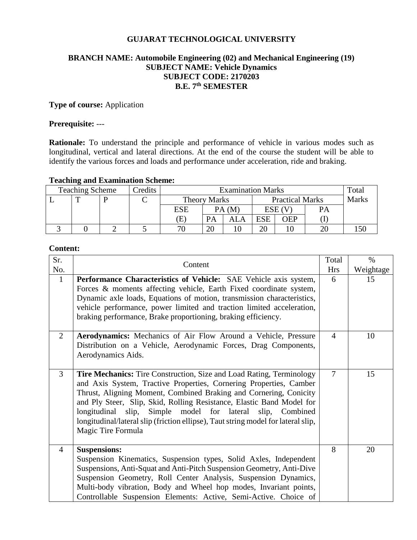#### **GUJARAT TECHNOLOGICAL UNIVERSITY**

## **BRANCH NAME: Automobile Engineering (02) and Mechanical Engineering (19) SUBJECT NAME: Vehicle Dynamics SUBJECT CODE: 2170203 B.E. 7 th SEMESTER**

## **Type of course:** Application

#### **Prerequisite:** ---

**Rationale:** To understand the principle and performance of vehicle in various modes such as longitudinal, vertical and lateral directions. At the end of the course the student will be able to identify the various forces and loads and performance under acceleration, ride and braking.

#### **Teaching and Examination Scheme:**

| <b>Teaching Scheme</b> |  |  | Credits | <b>Examination Marks</b> |    |                        |            |            | Total        |  |
|------------------------|--|--|---------|--------------------------|----|------------------------|------------|------------|--------------|--|
|                        |  |  |         | <b>Theory Marks</b>      |    | <b>Practical Marks</b> |            |            | <b>Marks</b> |  |
|                        |  |  |         | <b>ESE</b>               |    | PA(M)                  |            | ESE (V     | PA           |  |
|                        |  |  |         | Έ                        |    | ALA                    | <b>ESE</b> | <b>DEP</b> |              |  |
|                        |  |  |         | 70                       | ററ |                        | ററ         |            |              |  |

# **Content:**

| Sr.<br>No.     | Content                                                                                                                                                                                                                                                                                                                                                                                                                                                                  | Total<br><b>Hrs</b> | $\%$<br>Weightage |
|----------------|--------------------------------------------------------------------------------------------------------------------------------------------------------------------------------------------------------------------------------------------------------------------------------------------------------------------------------------------------------------------------------------------------------------------------------------------------------------------------|---------------------|-------------------|
| $\mathbf{1}$   | <b>Performance Characteristics of Vehicle:</b> SAE Vehicle axis system,<br>Forces & moments affecting vehicle, Earth Fixed coordinate system,<br>Dynamic axle loads, Equations of motion, transmission characteristics,<br>vehicle performance, power limited and traction limited acceleration,<br>braking performance, Brake proportioning, braking efficiency.                                                                                                        | 6                   | 15                |
| $\overline{2}$ | Aerodynamics: Mechanics of Air Flow Around a Vehicle, Pressure<br>Distribution on a Vehicle, Aerodynamic Forces, Drag Components,<br>Aerodynamics Aids.                                                                                                                                                                                                                                                                                                                  | $\overline{4}$      | 10                |
| 3              | <b>Tire Mechanics:</b> Tire Construction, Size and Load Rating, Terminology<br>and Axis System, Tractive Properties, Cornering Properties, Camber<br>Thrust, Aligning Moment, Combined Braking and Cornering, Conicity<br>and Ply Steer, Slip, Skid, Rolling Resistance, Elastic Band Model for<br>longitudinal slip, Simple model for lateral slip, Combined<br>longitudinal/lateral slip (friction ellipse), Taut string model for lateral slip,<br>Magic Tire Formula | $\overline{7}$      | 15                |
| 4              | <b>Suspensions:</b><br>Suspension Kinematics, Suspension types, Solid Axles, Independent<br>Suspensions, Anti-Squat and Anti-Pitch Suspension Geometry, Anti-Dive<br>Suspension Geometry, Roll Center Analysis, Suspension Dynamics,<br>Multi-body vibration, Body and Wheel hop modes, Invariant points,<br>Controllable Suspension Elements: Active, Semi-Active. Choice of                                                                                            | 8                   | 20                |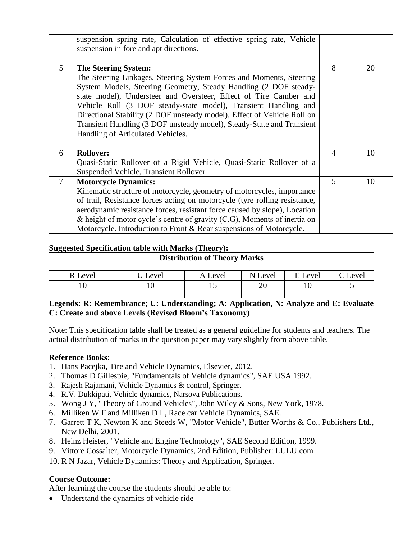|                | suspension spring rate, Calculation of effective spring rate, Vehicle<br>suspension in fore and apt directions.                                                                                                                                                                                                                                                                                                                                                                                         |   |    |
|----------------|---------------------------------------------------------------------------------------------------------------------------------------------------------------------------------------------------------------------------------------------------------------------------------------------------------------------------------------------------------------------------------------------------------------------------------------------------------------------------------------------------------|---|----|
| $\mathfrak{S}$ | <b>The Steering System:</b><br>The Steering Linkages, Steering System Forces and Moments, Steering<br>System Models, Steering Geometry, Steady Handling (2 DOF steady-<br>state model), Understeer and Oversteer, Effect of Tire Camber and<br>Vehicle Roll (3 DOF steady-state model), Transient Handling and<br>Directional Stability (2 DOF unsteady model), Effect of Vehicle Roll on<br>Transient Handling (3 DOF unsteady model), Steady-State and Transient<br>Handling of Articulated Vehicles. | 8 | 20 |
| 6              | <b>Rollover:</b><br>Quasi-Static Rollover of a Rigid Vehicle, Quasi-Static Rollover of a<br>Suspended Vehicle, Transient Rollover                                                                                                                                                                                                                                                                                                                                                                       | 4 | 10 |
| $\overline{7}$ | <b>Motorcycle Dynamics:</b><br>Kinematic structure of motorcycle, geometry of motorcycles, importance<br>of trail, Resistance forces acting on motorcycle (tyre rolling resistance,<br>aerodynamic resistance forces, resistant force caused by slope), Location<br>& height of motor cycle's centre of gravity $(C.G)$ , Moments of inertia on<br>Motorcycle. Introduction to Front & Rear suspensions of Motorcycle.                                                                                  | 5 | 10 |

#### **Suggested Specification table with Marks (Theory):**

| ັ<br><b>Distribution of Theory Marks</b> |       |         |         |         |         |  |  |
|------------------------------------------|-------|---------|---------|---------|---------|--|--|
| R Level                                  | Level | A Level | N Level | E Level | C Level |  |  |
|                                          |       | L J     |         |         |         |  |  |

# **Legends: R: Remembrance; U: Understanding; A: Application, N: Analyze and E: Evaluate C: Create and above Levels (Revised Bloom's Taxonomy)**

Note: This specification table shall be treated as a general guideline for students and teachers. The actual distribution of marks in the question paper may vary slightly from above table.

# **Reference Books:**

- 1. Hans Pacejka, Tire and Vehicle Dynamics, Elsevier, 2012.
- 2. Thomas D Gillespie, "Fundamentals of Vehicle dynamics", SAE USA 1992.
- 3. Rajesh Rajamani, Vehicle Dynamics & control, Springer.
- 4. R.V. Dukkipati, Vehicle dynamics, Narsova Publications.
- 5. Wong J Y, "Theory of Ground Vehicles", John Wiley & Sons, New York, 1978.
- 6. Milliken W F and Milliken D L, Race car Vehicle Dynamics, SAE.
- 7. Garrett T K, Newton K and Steeds W, "Motor Vehicle", Butter Worths & Co., Publishers Ltd., New Delhi, 2001.
- 8. Heinz Heister, "Vehicle and Engine Technology", SAE Second Edition, 1999.
- 9. Vittore Cossalter, Motorcycle Dynamics, 2nd Edition, Publisher: LULU.com

10. R N Jazar, Vehicle Dynamics: Theory and Application, Springer.

#### **Course Outcome:**

After learning the course the students should be able to:

Understand the dynamics of vehicle ride